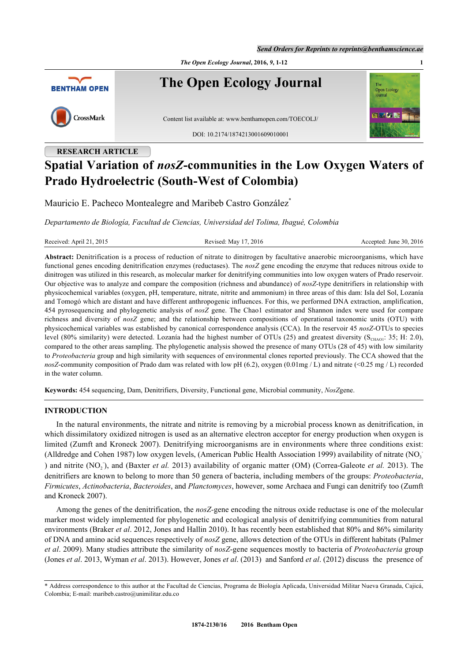*Send Orders for Reprints to reprints@benthamscience.ae*



# **RESEARCH ARTICLE Spatial Variation of** *nosZ***-communities in the Low Oxygen Waters of Prado Hydroelectric (South-West of Colombia)**

Mauricio E. Pacheco Montealegre and Maribeb Castro González<sup>[\\*](#page-0-0)</sup>

*Departamento de Biología, Facultad de Ciencias, Universidad del Tolima, Ibagué, Colombia*

Revised: May 17, 2016 Revised: June 30, 2016

**Abstract:** Denitrification is a process of reduction of nitrate to dinitrogen by facultative anaerobic microorganisms, which have functional genes encoding denitrification enzymes (reductases). The *nosZ* gene encoding the enzyme that reduces nitrous oxide to dinitrogen was utilized in this research, as molecular marker for denitrifying communities into low oxygen waters of Prado reservoir. Our objective was to analyze and compare the composition (richness and abundance) of *nosZ-*type denitrifiers in relationship with physicochemical variables (oxygen, pH, temperature, nitrate, nitrite and ammonium) in three areas of this dam: Isla del Sol, Lozanía and Tomogó which are distant and have different anthropogenic influences. For this, we performed DNA extraction, amplification, 454 pyrosequencing and phylogenetic analysis of *nosZ* gene. The Chao1 estimator and Shannon index were used for compare richness and diversity of *nosZ* gene; and the relationship between compositions of operational taxonomic units (OTU) with physicochemical variables was established by canonical correspondence analysis (CCA). In the reservoir 45 *nosZ*-OTUs to species level (80% similarity) were detected. Lozanía had the highest number of OTUs (25) and greatest diversity ( $S_{CHAO1}$ : 35; H: 2.0), compared to the other areas sampling. The phylogenetic analysis showed the presence of many OTUs (28 of 45) with low similarity to *Proteobacteria* group and high similarity with sequences of environmental clones reported previously. The CCA showed that the *nosZ*-community composition of Prado dam was related with low pH (6.2), oxygen (0.01mg / L) and nitrate (<0.25 mg / L) recorded in the water column.

**Keywords:** 454 sequencing, Dam, Denitrifiers, Diversity, Functional gene, Microbial community, *NosZ*gene.

# **INTRODUCTION**

In the natural environments, the nitrate and nitrite is removing by a microbial process known as denitrification, in which dissimilatory oxidized nitrogen is used as an alternative electron acceptor for energy production when oxygen is limited ([Zumft and Kroneck 2007\)](#page-10-0). Denitrifying microorganisms are in environments where three conditions exist: [\(Alldredge and Cohen 1987](#page-8-0)) low oxygen levels, [\(American Public Health Association 1999\)](#page-8-1) availability of nitrate (NO<sub>3</sub> ) and nitrite (NO<sub>2</sub>), and ([Baxter](#page-8-2) *[et al.](#page-9-0)* [2013\)](#page-8-2) availability of organic matter (OM) ([Correa-Galeote](#page-9-0) *et al.* [2013](#page-9-0)). The denitrifiers are known to belong to more than 50 genera of bacteria, including members of the groups: *Proteobacteria*, *Firmicutes*, *Actinobacteria*, *Bacteroides*, and *Planctomyces*, however, some Archaea and Fungi can denitrify too ([Zumft](#page-11-0) [and Kroneck](#page-11-0) 2007).

Among the genes of the denitrification, the *nosZ-*gene encoding the nitrous oxide reductase is one of the molecular marker most widely implemented for phylogenetic and ecological analysis of denitrifying communities from natural environments [\(Braker](#page-8-3) *[et al](#page-8-3)*[. 2012](#page-8-3), [Jones and Hallin 2010\)](#page-8-3). It has recently been established that 80% and 86% similarity of DNA and amino acid sequences respectively of *nosZ* gene, allows detection of the OTUs in different habitats [\(Palmer](#page-10-1) *[et al](#page-10-1)*[. 2009\)](#page-10-1). Many studies attribute the similarity of *nosZ*-gene sequences mostly to bacteria of *Proteobacteria* group (Jones *et al*. 2013, [Wyman](#page-11-1) *[et al](#page-11-1)*[. 2013\)](#page-11-1). However, Jones *et al*. (2013) and [Sanford](#page-10-2) *[et al](#page-10-2)*. (2012) discuss the presence of

<span id="page-0-0"></span><sup>\*</sup> Address correspondence to this author at the Facultad de Ciencias, Programa de Biología Aplicada, Universidad Militar Nueva Granada, Cajicá, Colombia; E-mail: [maribeb.castro@unimilitar.edu.co](mailto:maribeb.castro@unimilitar.edu.co)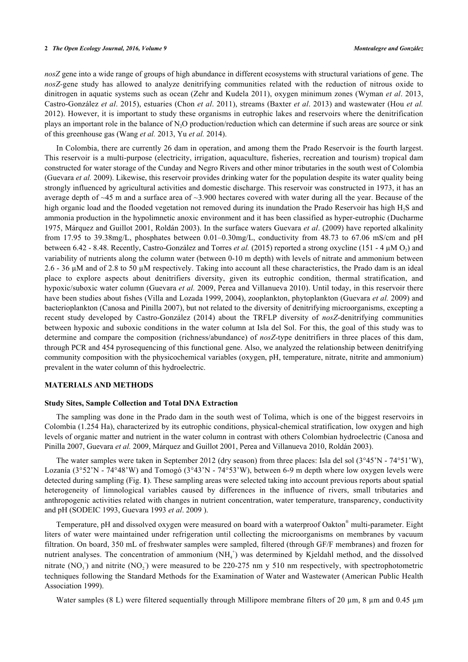*nosZ* gene into a wide range of groups of high abundance in different ecosystems with structural variations of gene. The *nosZ-*gene study has allowed to analyze denitrifying communities related with the reduction of nitrous oxide to dinitrogen in aquatic systems such as ocean [\(Zehr and Kudela 2011](#page-11-2)), oxygen minimum zones (Wyman *et al*. 2013, Castro-González *et al*. 2015), estuaries ([Chon](#page-9-1) *[et al](#page-9-1)*[. 2011](#page-9-1)), streams (Baxter *et al*. 2013) and wastewater ([Hou](#page-10-3) *[et al.](#page-10-3)* [2012](#page-10-3)). However, it is important to study these organisms in eutrophic lakes and reservoirs where the denitrification plays an important role in the balance of N2O production/reduction which can determine if such areas are source or sink of this greenhouse gas ([Wang](#page-11-3) *[et al.](#page-11-3)* [2013,](#page-11-3) [Yu](#page-11-4) *et al.* 2014).

In Colombia, there are currently 26 dam in operation, and among them the Prado Reservoir is the fourth largest. This reservoir is a multi-purpose (electricity, irrigation, aquaculture, fisheries, recreation and tourism) tropical dam constructed for water storage of the Cunday and Negro Rivers and other minor tributaries in the south west of Colombia (Guevara *et al.* 2009). Likewise, this reservoir provides drinking water for the population despite its water quality being strongly influenced by agricultural activities and domestic discharge. This reservoir was constructed in 1973, it has an average depth of ~45 m and a surface area of ~3.900 hectares covered with water during all the year. Because of the high organic load and the flooded vegetation not removed during its inundation the Prado Reservoir has high H<sub>2</sub>S and ammonia production in the hypolimnetic anoxic environment and it has been classified as hyper-eutrophic ([Ducharme](#page-9-2) 1975, Márquez and Guillot 2001, Roldán 2003). In the surface waters Guevara *et al*. (2009) have reported alkalinity from 17.95 to 39.38mg/L, phosphates between 0.01–0.30mg/L, conductivity from 48.73 to 67.06 mS/cm and pH between 6.42 - 8.48. Recently, [Castro-González and Torres](#page-9-2) *[et al.](#page-9-2)* [\(2015\)](#page-9-2) reported a strong oxycline (151 - 4 μM O<sub>2</sub>) and variability of nutrients along the column water (between 0-10 m depth) with levels of nitrate and ammonium between 2.6 - 36 µM and of 2.8 to 50 µM respectively. Taking into account all these characteristics, the Prado dam is an ideal place to explore aspects about denitrifiers diversity, given its eutrophic condition, thermal stratification, and hypoxic/suboxic water column (Guevara *et al.* 2009, [Perea and Villanueva](#page-10-4) 2010). Until today, in this reservoir there have been studies about fishes [\(Villa and Lozada](#page-11-5) 1999, 2004), zooplankton, phytoplankton (Guevara *et al.* 2009) and bacterioplankton [\(Canosa and Pinilla 2007\)](#page-8-4), but not related to the diversity of denitrifying microorganisms, excepting a recent study developed by [Castro-González](#page-8-5) (2014) about the TRFLP diversity of *nosZ*-denitrifying communities between hypoxic and suboxic conditions in the water column at Isla del Sol. For this, the goal of this study was to determine and compare the composition (richness/abundance) of *nosZ*-type denitrifiers in three places of this dam, through PCR and 454 pyrosequencing of this functional gene. Also, we analyzed the relationship between denitrifying community composition with the physicochemical variables (oxygen, pH, temperature, nitrate, nitrite and ammonium) prevalent in the water column of this hydroelectric.

# **MATERIALS AND METHODS**

# **Study Sites, Sample Collection and Total DNA Extraction**

The sampling was done in the Prado dam in the south west of Tolima, which is one of the biggest reservoirs in Colombia (1.254 Ha), characterized by its eutrophic conditions, physical-chemical stratification, low oxygen and high levels of organic matter and nutrient in the water column in contrast with others Colombian hydroelectric (Canosa and Pinilla 2007, Guevara *et al.* 2009, Márquez and Guillot 2001, [Perea and Villanueva 2010](#page-10-3), [Roldán 2003](#page-10-3)).

The water samples were taken in September 2012 (dry season) from three places: Isla del sol (3°45'N - 74°51'W), Lozanía (3°52'N - 74°48'W) and Tomogó (3°43'N - 74°53'W), between 6-9 m depth where low oxygen levels were detected during sampling (Fig. **[1](#page--1-0)**). These sampling areas were selected taking into account previous reports about spatial heterogeneity of limnological variables caused by differences in the influence of rivers, small tributaries and anthropogenic activities related with changes in nutrient concentration, water temperature, transparency, conductivity and pH ([SODEIC 1993](#page-10-5), [Guevara 1993](#page-10-5) *[et al](#page-10-5)*[. 2009](#page-10-5) ).

Temperature, pH and dissolved oxygen were measured on board with a waterproof Oakton® multi-parameter. Eight liters of water were maintained under refrigeration until collecting the microorganisms on membranes by vacuum filtration. On board, 350 mL of freshwater samples were sampled, filtered (through GF/F membranes) and frozen for nutrient analyses. The concentration of ammonium (NH<sub>4</sub><sup>+</sup>) was determined by Kjeldahl method, and the dissolved nitrate  $(NO<sub>3</sub>)$  and nitrite  $(NO<sub>2</sub>)$  were measured to be 220-275 nm y 510 nm respectively, with spectrophotometric techniques following the Standard Methods for the Examination of Water and Wastewater (American Public Health Association 1999).

Water samples (8 L) were filtered sequentially through Millipore membrane filters of 20 µm, 8 µm and 0.45 µm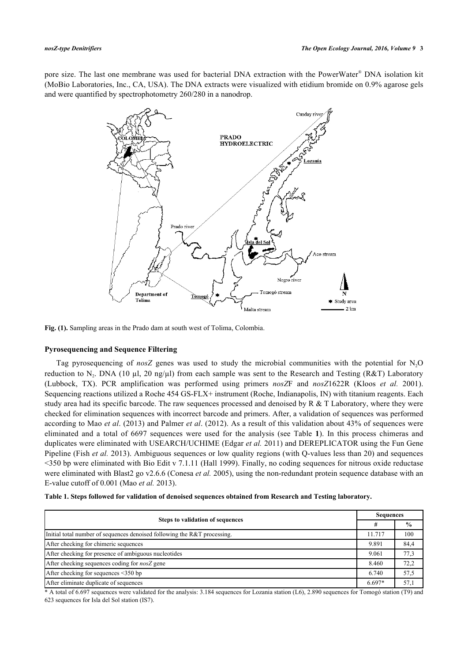pore size. The last one membrane was used for bacterial DNA extraction with the PowerWater® DNA isolation kit (MoBio Laboratories, Inc., CA, USA). The DNA extracts were visualized with etidium bromide on 0.9% agarose gels and were quantified by spectrophotometry 260/280 in a nanodrop.



**Fig. (1).** Sampling areas in the Prado dam at south west of Tolima, Colombia.

# **Pyrosequencing and Sequence Filtering**

Tag pyrosequencing of *nosZ* genes was used to study the microbial communities with the potential for N2O reduction to N<sub>2</sub>. DNA (10 µl, 20 ng/µl) from each sample was sent to the Research and Testing (R&T) Laboratory (Lubbock, TX). PCR amplification was performed using primers *nosZ*F and *nosZ*1622R([Kloos](#page-10-6) *[et al.](#page-10-6)* [2001\)](#page-10-6). Sequencing reactions utilized a Roche 454 GS-FLX+ instrument (Roche, Indianapolis, IN) with titanium reagents. Each study area had its specific barcode. The raw sequences processed and denoised by  $R \& T$  Laboratory, where they were checked for elimination sequences with incorrect barcode and primers. After, a validation of sequences was performed according to [Mao](#page-10-7) *[et al](#page-10-7)*[. \(2013\)](#page-10-7) and [Palmer](#page-10-2) *[et al](#page-10-2)*[. \(2012\)](#page-10-2). As a result of this validation about 43% of sequences were eliminated and a total of 6697 sequences were used for the analysis (see Table**1**). In this process chimeras and duplicates were eliminated with USEARCH/UCHIME ([Edgar](#page-9-3) *[et al.](#page-9-3)* [2011](#page-9-3)) and DEREPLICATOR using the Fun Gene Pipeline ([Fish](#page-9-4) *[et al.](#page-9-4)* [2013\)](#page-9-4). Ambiguous sequences or low quality regions (with Q-values less than 20) and sequences <350 bp were eliminated with Bio Edit v 7.1.11 ([Hall 1999](#page-9-5)). Finally, no coding sequences for nitrous oxide reductase were eliminated with Blast2 go v2.6.6 ([Conesa](#page-9-6) *[et al.](#page-9-6)* [2005\)](#page-9-6), using the non-redundant protein sequence database with an E-value cutoff of 0.001 ([Mao](#page-10-7) *[et al.](#page-10-7)* [2013](#page-10-7)).

| Table 1. Steps followed for validation of denoised sequences obtained from Research and Testing laboratory. |  |  |
|-------------------------------------------------------------------------------------------------------------|--|--|
|                                                                                                             |  |  |

|                                                                          |          | Sequences     |  |
|--------------------------------------------------------------------------|----------|---------------|--|
| <b>Steps to validation of sequences</b>                                  | #        | $\frac{6}{9}$ |  |
| Initial total number of sequences denoised following the R&T processing. | 11.717   | 100           |  |
| After checking for chimeric sequences                                    | 9.891    | 84,4          |  |
| After checking for presence of ambiguous nucleotides                     | 9.061    | 77,3          |  |
| After checking sequences coding for <i>nosZ</i> gene                     | 8.460    | 72,2          |  |
| After checking for sequences $\leq$ 350 bp                               | 6.740    | 57,5          |  |
| After eliminate duplicate of sequences                                   | $6.697*$ | 57,1          |  |

\* A total of 6.697 sequences were validated for the analysis: 3.184 sequences for Lozania station (L6), 2.890 sequences for Tomogó station (T9) and 623 sequences for Isla del Sol station (IS7).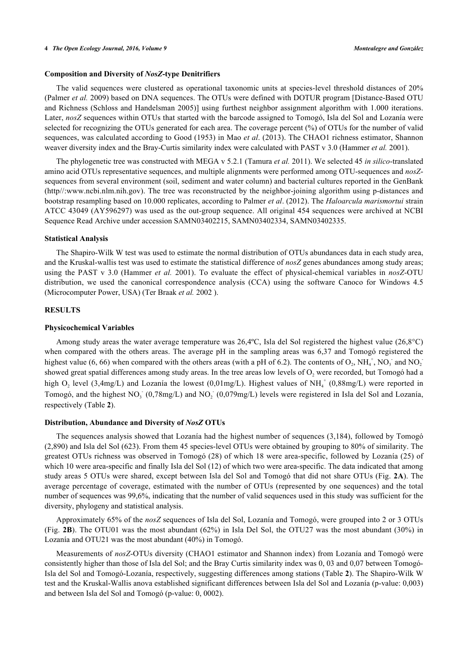# **Composition and Diversity of** *NosZ***-type Denitrifiers**

The valid sequences were clustered as operational taxonomic units at species-level threshold distances of 20% (Palmer *et al.* 2009) based on DNA sequences. The OTUs were defined with DOTUR program [Distance-Based OTU and Richness ([Schloss and Handelsman](#page-10-8) 2005)] using furthest neighbor assignment algorithm with 1.000 iterations. Later, *nosZ* sequences within OTUs that started with the barcode assigned to Tomogó, Isla del Sol and Lozanía were selected for recognizing the OTUs generated for each area. The coverage percent (%) of OTUs for the number of valid sequences, was calculated according to Good (1953) in [Mao](#page-10-7) *[et al](#page-10-7)*[. \(2013\)](#page-10-7). The CHAO1 richness estimator, Shannon weaver diversity index and the Bray-Curtis similarity index were calculated with PAST v 3.0 [\(Hammer](#page-9-7) *[et al.](#page-9-7)* [2001](#page-9-7)).

The phylogenetic tree was constructed with MEGA v 5.2.1 ([Tamura](#page-11-6) *[et al.](#page-11-6)* [2011\)](#page-11-6). We selected 45 *in silico*-translated amino acid OTUs representative sequences, and multiple alignments were performed among OTU-sequences and *nosZ*sequences from several environment (soil, sediment and water column) and bacterial cultures reported in the GenBank [\(http//:www.ncbi.nlm.nih.gov\)](http://www.ncbi.nlm.nih.gov). The tree was reconstructed by the neighbor-joining algorithm using p-distances and bootstrap resampling based on 10.000 replicates, according to Palmer *et al*. (2012). The *Haloarcula marismortui* strain ATCC 43049 (AY596297) was used as the out-group sequence. All original 454 sequences were archived at NCBI Sequence Read Archive under accession SAMN03402215, SAMN03402334, SAMN03402335.

# **Statistical Analysis**

The Shapiro-Wilk W test was used to estimate the normal distribution of OTUs abundances data in each study area, and the Kruskal-wallis test was used to estimate the statistical difference of *nosZ* genes abundances among study areas; using the PAST v 3.0 (Hammer *et al.* 2001). To evaluate the effect of physical-chemical variables in *nosZ*-OTU distribution, we used the canonical correspondence analysis (CCA) using the software Canoco for Windows 4.5 (Microcomputer Power, USA) [\(Ter Braak](#page-11-6) *[et al.](#page-11-6)* [2002](#page-11-6) ).

# **RESULTS**

# **Physicochemical Variables**

Among study areas the water average temperature was 26,4ºC, Isla del Sol registered the highest value (26,8°C) when compared with the others areas. The average pH in the sampling areas was 6,37 and Tomogó registered the highest value (6, 66) when compared with the others areas (with a pH of 6.2). The contents of  $O_2$ , NH<sub>4</sub><sup>+</sup>, NO<sub>3</sub><sup>-</sup> and NO<sub>2</sub><sup>-</sup> showed great spatial differences among study areas. In the tree areas low levels of  $O_2$  were recorded, but Tomogó had a high  $O_2$  level (3,4mg/L) and Lozanía the lowest (0,01mg/L). Highest values of NH<sub>4</sub><sup>+</sup> (0,88mg/L) were reported in Tomogó, and the highest  $NO_3^-$  (0,78mg/L) and  $NO_2^-$  (0,079mg/L) levels were registered in Isla del Sol and Lozanía, respectively (Table **[2](#page-7-0)**).

#### **Distribution, Abundance and Diversity of** *NosZ* **OTUs**

The sequences analysis showed that Lozanía had the highest number of sequences (3,184), followed by Tomogó (2,890) and Isla del Sol (623). From them 45 species-level OTUs were obtained by grouping to 80% of similarity. The greatest OTUs richness was observed in Tomogó (28) of which 18 were area-specific, followed by Lozanía (25) of which 10 were area-specific and finally Isla del Sol (12) of which two were area-specific. The data indicated that among study areas 5 OTUs were shared, except between Isla del Sol and Tomogó that did not share OTUs (Fig. **[2A](#page-3-0)**). The average percentage of coverage, estimated with the number of OTUs (represented by one sequences) and the total number of sequences was 99,6%, indicating that the number of valid sequences used in this study was sufficient for the diversity, phylogeny and statistical analysis.

Approximately 65% of the *nosZ* sequences of Isla del Sol, Lozanía and Tomogó, were grouped into 2 or 3 OTUs (Fig. **[2B](#page-3-0)**). The OTU01 was the most abundant (62%) in Isla Del Sol, the OTU27 was the most abundant (30%) in Lozanía and OTU21 was the most abundant (40%) in Tomogó.

<span id="page-3-0"></span>Measurements of *nosZ*-OTUs diversity (CHAO1 estimator and Shannon index) from Lozanía and Tomogó were consistently higher than those of Isla del Sol; and the Bray Curtis similarity index was 0, 03 and 0,07 between Tomogó-Isla del Sol and Tomogó-Lozanía, respectively, suggesting differences among stations (Table **[2](#page-7-0)**). The Shapiro-Wilk W test and the Kruskal-Wallis anova established significant differences between Isla del Sol and Lozanía (p-value: 0,003) and between Isla del Sol and Tomogó (p-value: 0, 0002).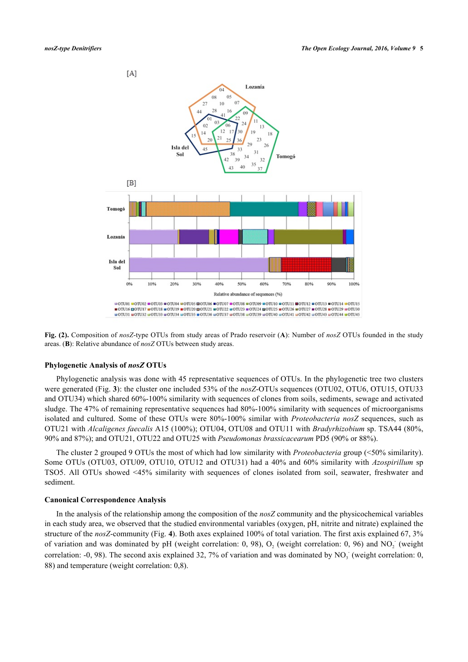

**Fig. (2).** Composition of *nosZ*-type OTUs from study areas of Prado reservoir (**A**): Number of *nosZ* OTUs founded in the study areas. (**B**): Relative abundance of *nosZ* OTUs between study areas.

# **Phylogenetic Analysis of** *nosZ* **OTUs**

Phylogenetic analysis was done with 45 representative sequences of OTUs. In the phylogenetic tree two clusters were generated (Fig. **[3](#page-4-0)**): the cluster one included 53% of the *nosZ*-OTUs sequences (OTU02, OTU6, OTU15, OTU33 and OTU34) which shared 60%-100% similarity with sequences of clones from soils, sediments, sewage and activated sludge. The 47% of remaining representative sequences had 80%-100% similarity with sequences of microorganisms isolated and cultured. Some of these OTUs were 80%-100% similar with *Proteobacteria nosZ* sequences, such as OTU21 with *Alcaligenes faecalis* A15 (100%); OTU04, OTU08 and OTU11 with *Bradyrhizobium* sp. TSA44 (80%, 90% and 87%); and OTU21, OTU22 and OTU25 with *Pseudomonas brassicacearum* PD5 (90% or 88%).

The cluster 2 grouped 9 OTUs the most of which had low similarity with *Proteobacteria* group (<50% similarity). Some OTUs (OTU03, OTU09, OTU10, OTU12 and OTU31) had a 40% and 60% similarity with *Azospirillum* sp TSO5. All OTUs showed <45% similarity with sequences of clones isolated from soil, seawater, freshwater and sediment.

#### **Canonical Correspondence Analysis**

<span id="page-4-0"></span>In the analysis of the relationship among the composition of the *nosZ* community and the physicochemical variables in each study area, we observed that the studied environmental variables (oxygen, pH, nitrite and nitrate) explained the structure of the *nosZ*-community (Fig. **[4](#page-5-0)**). Both axes explained 100% of total variation. The first axis explained 67, 3% of variation and was dominated by pH (weight correlation: 0, 98),  $O_2$  (weight correlation: 0, 96) and  $NO<sub>2</sub>$  (weight correlation: -0, 98). The second axis explained 32, 7% of variation and was dominated by  $NO<sub>3</sub>$  (weight correlation: 0, 88) and temperature (weight correlation: 0,8).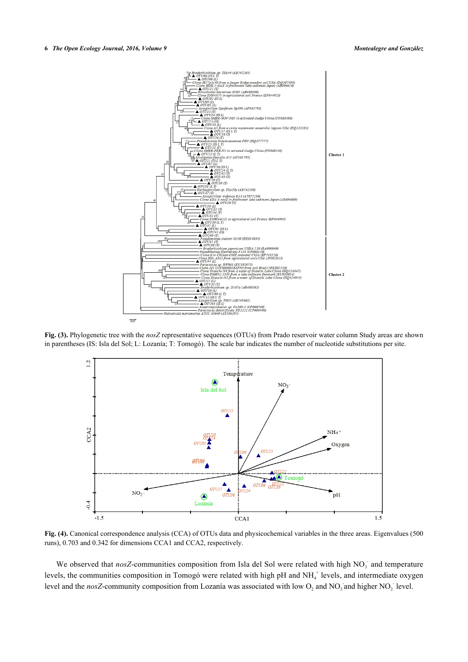

<span id="page-5-0"></span>**Fig. (3).** Phylogenetic tree with the *nosZ* representative sequences (OTUs) from Prado reservoir water column Study areas are shown in parentheses (IS: Isla del Sol; L: Lozanía; T: Tomogó). The scale bar indicates the number of nucleotide substitutions per site.



**Fig. (4).** Canonical correspondence analysis (CCA) of OTUs data and physicochemical variables in the three areas. Eigenvalues (500 runs), 0.703 and 0.342 for dimensions CCA1 and CCA2, respectively.

We observed that nosZ-communities composition from Isla del Sol were related with high NO<sub>3</sub> and temperature levels, the communities composition in Tomogó were related with high pH and NH<sub>4</sub><sup>+</sup> levels, and intermediate oxygen level and the *nosZ*-community composition from Lozanía was associated with low  $O_2$  and NO<sub>3</sub> and higher NO<sub>2</sub> level.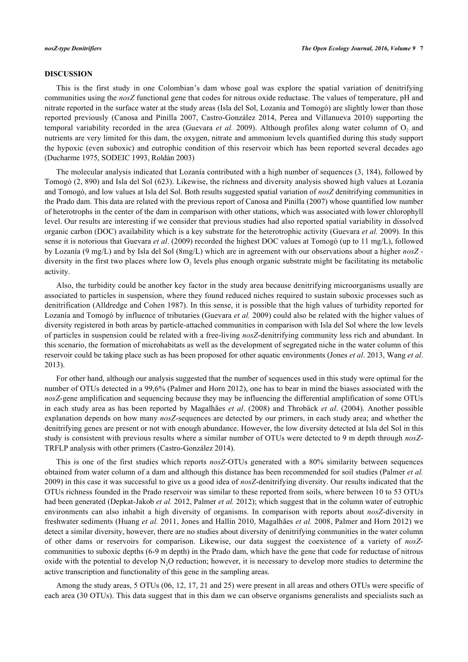# **DISCUSSION**

This is the first study in one Colombian's dam whose goal was explore the spatial variation of denitrifying communities using the *nosZ* functional gene that codes for nitrous oxide reductase. The values of temperature, pH and nitrate reported in the surface water at the study areas (Isla del Sol, Lozanía and Tomogó) are slightly lower than those reported previously (Canosa and Pinilla 2007, Castro-González 2014, Perea and Villanueva 2010) supporting the temporalvariability recorded in the area ([Guevara](#page-9-8) et al. 2009). Although profiles along water column of O<sub>2</sub> and nutrients are very limited for this dam, the oxygen, nitrate and ammonium levels quantified during this study support the hypoxic (even suboxic) and eutrophic condition of this reservoir which has been reported several decades ago (Ducharme 1975, SODEIC 1993, Roldán 2003)

The molecular analysis indicated that Lozanía contributed with a high number of sequences (3, 184), followed by Tomogó (2, 890) and Isla del Sol (623). Likewise, the richness and diversity analysis showed high values at Lozanía and Tomogó, and low values at Isla del Sol. Both results suggested spatial variation of *nosZ* denitrifying communities in the Prado dam. This data are related with the previous report of Canosa and Pinilla (2007) whose quantified low number of heterotrophs in the center of the dam in comparison with other stations, which was associated with lower chlorophyll level. Our results are interesting if we consider that previous studies had also reported spatial variability in dissolved organic carbon (DOC) availability which is a key substrate for the heterotrophic activity [\(Guevara](#page-9-8) *[et al.](#page-9-8)* [2009](#page-9-8)). In this sense it is notorious that Guevara *et al*. (2009) recorded the highest DOC values at Tomogó (up to 11 mg/L), followed by Lozanía (9 mg/L) and by Isla del Sol (8mg/L) which are in agreement with our observations about a higher *nosZ* diversity in the first two places where low  $O_2$  levels plus enough organic substrate might be facilitating its metabolic activity.

Also, the turbidity could be another key factor in the study area because denitrifying microorganisms usually are associated to particles in suspension, where they found reduced niches required to sustain suboxic processes such as denitrification [\(Alldredge and Cohen 1987](#page-8-0)). In this sense, it is possible that the high values of turbidity reported for Lozanía and Tomogó by influence of tributaries (Guevara *et al.* 2009) could also be related with the higher values of diversity registered in both areas by particle-attached communities in comparison with Isla del Sol where the low levels of particles in suspension could be related with a free-living *nosZ*-denitrifying community less rich and abundant. In this scenario, the formation of microhabitats as well as the development of segregated niche in the water column of this reservoir could be taking place such as has been proposed for other aquatic environments (Jones *et al*. 2013, [Wang](#page-11-3) *[et al](#page-11-3)*[.](#page-11-3) [2013\)](#page-11-3).

For other hand, although our analysis suggested that the number of sequences used in this study were optimal for the number of OTUs detected in a 99,6% (Palmer and Horn 2012), one has to bear in mind the biases associated with the *nosZ*-gene amplification and sequencing because they may be influencing the differential amplification of some OTUs in each study area as has been reported by Magalhães *et al*. (2008) and [Throbäck](#page-11-7) *[et al](#page-11-7)*[. \(2004\)](#page-11-7). Another possible explanation depends on how many *nosZ*-sequences are detected by our primers, in each study area; and whether the denitrifying genes are present or not with enough abundance. However, the low diversity detected at Isla del Sol in this study is consistent with previous results where a similar number of OTUs were detected to 9 m depth through *nosZ*-TRFLP analysis with other primers (Castro-González 2014).

This is one of the first studies which reports *nosZ*-OTUs generated with a 80% similarity between sequences obtained from water column of a dam and although this distance has been recommended for soil studies (Palmer *et al.* 2009) in this case it was successful to give us a good idea of *nosZ*-denitrifying diversity. Our results indicated that the OTUs richness founded in the Prado reservoir was similar to these reported from soils, where between 10 to 53 OTUs had been generated [\(Depkat-Jakob](#page-9-9) *[et al.](#page-9-9)* [2012,](#page-9-9) [Palmer](#page-10-9) *[et al.](#page-10-9)* [2012\)](#page-10-9); which suggest that in the column water of eutrophic environments can also inhabit a high diversity of organisms. In comparison with reports about *nosZ*-diversity in freshwater sediments [\(Huang](#page-9-10) *[et al.](#page-9-10)* [2011,](#page-9-10) Jones and Hallin 2010, Magalhães *et al.* 2008, [Palmer and Horn 2012](#page-11-8)) we detect a similar diversity, however, there are no studies about diversity of denitrifying communities in the water column of other dams or reservoirs for comparison. Likewise, our data suggest the coexistence of a variety of *nosZ*communities to suboxic depths (6-9 m depth) in the Prado dam, which have the gene that code for reductase of nitrous oxide with the potential to develop  $N<sub>2</sub>O$  reduction; however, it is necessary to develop more studies to determine the active transcription and functionality of this gene in the sampling areas.

Among the study areas, 5 OTUs (06, 12, 17, 21 and 25) were present in all areas and others OTUs were specific of each area (30 OTUs). This data suggest that in this dam we can observe organisms generalists and specialists such as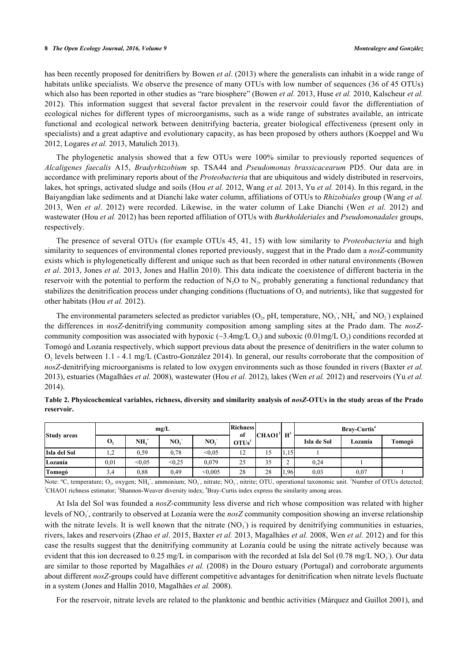has been recently proposed for denitrifiers by [Bowen](#page-8-6) *[et al](#page-8-6)*[. \(2013\)](#page-8-6) where the generalists can inhabit in a wide range of habitats unlike specialists. We observe the presence of many OTUs with low number of sequences (36 of 45 OTUs) which also has been reported in other studies as "rare biosphere" (Bowen *et al.* 2013, [Huse](#page-9-11) *[et al.](#page-9-11)* [2010,](#page-9-11) [Kalscheur](#page-10-10) *[et al.](#page-10-10)* [2012](#page-10-10)). This information suggest that several factor prevalent in the reservoir could favor the differentiation of ecological niches for different types of microorganisms, such as a wide range of substrates available, an intricate functional and ecological network between denitrifying bacteria, greater biological effectiveness (present only in specialists) and a great adaptive and evolutionary capacity, as has been proposed by others authors [\(Koeppel and Wu](#page-10-11) [2012,](#page-10-11) [Logares](#page-10-12) *[et al.](#page-10-12)* [2013,](#page-10-12) [Matulich 2013\)](#page-10-0).

The phylogenetic analysis showed that a few OTUs were 100% similar to previously reported sequences of *Alcaligenes faecalis* A15, *Bradyrhizobium* sp. TSA44 and *Pseudomonas brassicacearum* PD5. Our data are in accordance with preliminary reports about of the *Proteobacteria* that are ubiquitous and widely distributed in reservoirs, lakes, hot springs, activated sludge and soils ([Hou](#page-9-12) *[et al.](#page-9-12)* [2012,](#page-9-12) [Wang](#page-11-3) *[et al.](#page-11-3)* [2013](#page-11-3), Yu *et al.* 2014). In this regard, in the Baiyangdian lake sediments and at Dianchi lake water column, affiliations of OTUs to *Rhizobiales* group [\(Wang](#page-11-3) *[et al.](#page-11-3)* [2013](#page-11-3), [Wen](#page-11-8) *[et al](#page-11-8)*[. 2012](#page-11-8)) were recorded. Likewise, in the water column of Lake Dianchi (Wen *et al.* 2012) and wastewater (Hou *et al.* 2012) has been reported affiliation of OTUs with *Burkholderiales* and *Pseudomonadales* groups, respectively.

The presence of several OTUs (for example OTUs 45, 41, 15) with low similarity to *Proteobacteria* and high similarity to sequences of environmental clones reported previously, suggest that in the Prado dam a *nosZ*-community exists which is phylogenetically different and unique such as that been recorded in other natural environments ([Bowen](#page-8-6) *[et al](#page-8-6)*[. 2013](#page-8-6), [Jones](#page-9-13) *[et al.](#page-9-13)* [2013,](#page-9-13) [Jones and Hallin 2010](#page-9-14)). This data indicate the coexistence of different bacteria in the reservoir with the potential to perform the reduction of  $N_2O$  to  $N_2$ , probably generating a functional redundancy that stabilizes the denitrification process under changing conditions (fluctuations of  $O_2$  and nutrients), like that suggested for other habitats (Hou *et al.* 2012).

The environmental parameters selected as predictor variables  $(O_2, pH$ , temperature,  $NO_3$ ,  $NH_4^+$  and  $NO_2$ ) explained the differences in *nosZ*-denitrifying community composition among sampling sites at the Prado dam. The *nosZ*community composition was associated with hypoxic ( $\sim$ 3.4mg/L O<sub>2</sub>) and suboxic (0.01mg/L O<sub>2</sub>) conditions recorded at Tomogó and Lozanía respectively, which support previous data about the presence of denitrifiers in the water column to  $O_2$  levels between 1.1 - 4.1 mg/L [\(Castro-González 2014](#page-8-7)). In general, our results corroborate that the composition of *nosZ*-denitrifying microorganisms is related to low oxygen environments such as those founded in rivers ([Baxter](#page-8-2) *[et al.](#page-8-2)* [2013\)](#page-8-2), estuaries [\(Magalhães](#page-10-13) *[et al.](#page-10-13)* [2008\)](#page-10-13), wastewater (Hou *et al.* 2012), lakes (Wen *et al.* 2012) and reservoirs (Yu *et al.* 2014).

| <b>Study areas</b> | mg/L            |        |                 | Richness<br>of | $ CHAO1^2 $ H <sup>3</sup> |    | Bray-Curtis <sup>4</sup> |             |         |        |
|--------------------|-----------------|--------|-----------------|----------------|----------------------------|----|--------------------------|-------------|---------|--------|
|                    | O,              | $NH4+$ | NO <sub>2</sub> | NO,            | OTUs'                      |    |                          | Isla de Sol | Lozanía | Tomogó |
| Isla del Sol       | $\gamma$<br>1.Z | 0.59   | 0.78            | < 0.05         | 12                         | 15 | 1,15                     |             |         |        |
| Lozanía            | 0,01            | < 0.05 | < 0.25          | 0.079          | 25                         | 35 | $\sim$<br>∠              | 0,24        |         |        |
| Tomogó             | 3,4             | 0.88   | 0,49            | < 0.005        | 28                         | 28 | 1.96                     | 0.03        | 0.07    |        |

<span id="page-7-0"></span>**Table 2. Physicochemical variables, richness, diversity and similarity analysis of** *nosZ***-OTUs in the study areas of the Prado reservoir.**

Note: °C, temperature; O<sub>2</sub>, oxygen; NH<sub>4</sub><sup>+</sup>, ammonium; NO<sub>3</sub>, nitrate; NO<sub>2</sub>, nitrite; OTU, operational taxonomic unit. <sup>1</sup>Number of OTUs detected; <sup>2</sup>CHAO1 richness estimator; <sup>3</sup>Shannon-Weaver diversity index; <sup>4</sup>Bray-Curtis index express the similarity among areas.

At Isla del Sol was founded a *nosZ*-community less diverse and rich whose composition was related with higher levels of NO<sub>3</sub>, contrarily to observed at Lozanía were the *nosZ* community composition showing an inverse relationship with the nitrate levels. It is well known that the nitrate  $(NO<sub>3</sub>)$  is required by denitrifying communities in estuaries, rivers, lakes and reservoirs ([Zhao](#page-11-9) *[et al](#page-11-9)*. 2015, [Baxter](#page-8-2) *[et al.](#page-8-2)* 2013, Magalhães *et al.* 2008, Wen *et al.* 2012) and for this case the results suggest that the denitrifying community at Lozanía could be using the nitrate actively because was evident that this ion decreased to  $0.25$  mg/L in comparison with the recorded at Isla del Sol  $(0.78 \text{ mg/L NO}_3)$ . Our data are similar to those reported by Magalhães *et al.* (2008) in the Douro estuary (Portugal) and corroborate arguments about different *nosZ*-groups could have different competitive advantages for denitrification when nitrate levels fluctuate in a system (Jones and Hallin 2010, Magalhães *et al.* 2008).

For the reservoir, nitrate levels are related to the planktonic and benthic activities ([Márquez and Guillot 2001](#page--1-0)), and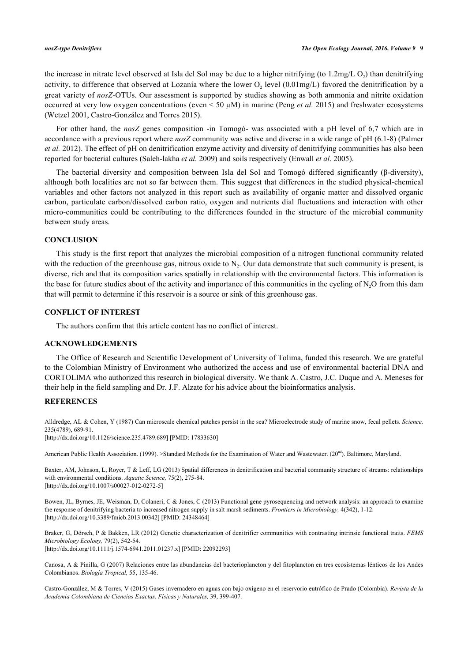the increase in nitrate level observed at Isla del Sol may be due to a higher nitrifying (to  $1.2 \text{mg/L O}_2$ ) than denitrifying activity, to difference that observed at Lozanía where the lower  $O_2$  level (0.01mg/L) favored the denitrification by a great variety of *nosZ*-OTUs. Our assessment is supported by studies showing as both ammonia and nitrite oxidation occurred at very low oxygen concentrations (even < 50 µM) in marine ([Peng](#page-10-14) *[et al.](#page-10-14)* 2015) and freshwater ecosystems [\(Wetzel 2001,](#page-11-3) [Castro-González and Torres 2015](#page-9-1)).

For other hand, the *nosZ* genes composition -in Tomogó- was associated with a pH level of 6,7 which are in accordance with a previous report where *nosZ* community was active and diverse in a wide range of pH (6.1-8) [\(Palmer](#page-10-9) *[et al.](#page-10-9)* [2012](#page-10-9)). The effect of pH on denitrification enzyme activity and diversity of denitrifying communities has also been reported for bacterial cultures [\(Saleh-lakha](#page-10-15) *[et al.](#page-10-15)* [2009](#page-10-15)) and soils respectively [\(Enwall](#page-9-15) *[et al](#page-9-15)*[. 2005](#page-9-15)).

The bacterial diversity and composition between Isla del Sol and Tomogó differed significantly (β-diversity), although both localities are not so far between them. This suggest that differences in the studied physical-chemical variables and other factors not analyzed in this report such as availability of organic matter and dissolved organic carbon, particulate carbon/dissolved carbon ratio, oxygen and nutrients dial fluctuations and interaction with other micro-communities could be contributing to the differences founded in the structure of the microbial community between study areas.

# **CONCLUSION**

This study is the first report that analyzes the microbial composition of a nitrogen functional community related with the reduction of the greenhouse gas, nitrous oxide to  $N_2$ . Our data demonstrate that such community is present, is diverse, rich and that its composition varies spatially in relationship with the environmental factors. This information is the base for future studies about of the activity and importance of this communities in the cycling of  $N<sub>2</sub>O$  from this dam that will permit to determine if this reservoir is a source or sink of this greenhouse gas.

#### **CONFLICT OF INTEREST**

The authors confirm that this article content has no conflict of interest.

### **ACKNOWLEDGEMENTS**

The Office of Research and Scientific Development of University of Tolima, funded this research. We are grateful to the Colombian Ministry of Environment who authorized the access and use of environmental bacterial DNA and CORTOLIMA who authorized this research in biological diversity. We thank A. Castro, J.C. Duque and A. Meneses for their help in the field sampling and Dr. J.F. Alzate for his advice about the bioinformatics analysis.

# **REFERENCES**

<span id="page-8-0"></span>Alldredge, AL & Cohen, Y (1987) Can microscale chemical patches persist in the sea? Microelectrode study of marine snow, fecal pellets. *Science,* 235(4789), 689-91. [\[http://dx.doi.org/10.1126/science.235.4789.689](http://dx.doi.org/10.1126/science.235.4789.689)] [PMID: [17833630\]](http://www.ncbi.nlm.nih.gov/pubmed/17833630)

<span id="page-8-1"></span>American Public Health Association. (1999). >Standard Methods for the Examination of Water and Wastewater. (20<sup>nd</sup>). Baltimore, Maryland.

<span id="page-8-2"></span>Baxter, AM, Johnson, L, Royer, T & Leff, LG (2013) Spatial differences in denitrification and bacterial community structure of streams: relationships with environmental conditions. *Aquatic Science,* 75(2), 275-84. [\[http://dx.doi.org/10.1007/s00027-012-0272-5\]](http://dx.doi.org/10.1007/s00027-012-0272-5)

<span id="page-8-6"></span>Bowen, JL, Byrnes, JE, Weisman, D, Colaneri, C & Jones, C (2013) Functional gene pyrosequencing and network analysis: an approach to examine the response of denitrifying bacteria to increased nitrogen supply in salt marsh sediments. *Frontiers in Microbiology,* 4(342), 1-12. [\[http://dx.doi.org/10.3389/fmicb.2013.00342](http://dx.doi.org/10.3389/fmicb.2013.00342)] [PMID: [24348464](http://www.ncbi.nlm.nih.gov/pubmed/24348464)]

<span id="page-8-3"></span>Braker, G, Dörsch, P & Bakken, LR (2012) Genetic characterization of denitrifier communities with contrasting intrinsic functional traits. *FEMS Microbiology Ecology,* 79(2), 542-54. [\[http://dx.doi.org/10.1111/j.1574-6941.2011.01237.x\]](http://dx.doi.org/10.1111/j.1574-6941.2011.01237.x) [PMID: [22092293](http://www.ncbi.nlm.nih.gov/pubmed/22092293)]

<span id="page-8-4"></span>Canosa, A & Pinilla, G (2007) Relaciones entre las abundancias del bacterioplancton y del fitoplancton en tres ecosistemas lénticos de los Andes Colombianos. *Biología Tropical,* 55, 135-46.

<span id="page-8-7"></span><span id="page-8-5"></span>Castro-González, M & Torres, V (2015) Gases invernadero en aguas con bajo oxígeno en el reservorio eutrófico de Prado (Colombia). *Revista de la Academia Colombiana de Ciencias Exactas*. *Físicas y Naturales,* 39, 399-407.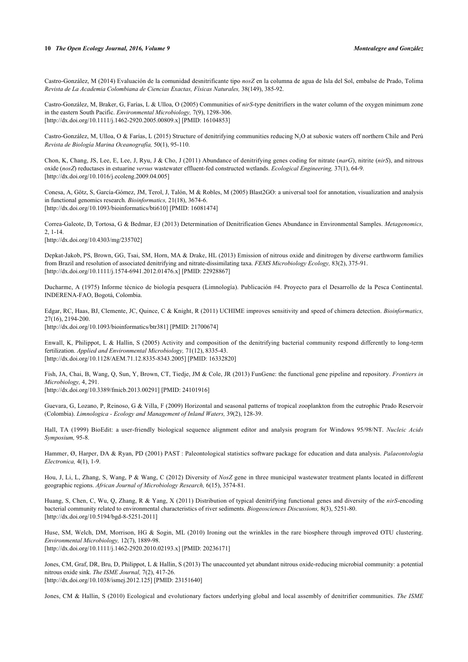Castro-González, M (2014) Evaluación de la comunidad desnitrificante tipo *nosZ* en la columna de agua de Isla del Sol, embalse de Prado, Tolima *Revista de La Academia Colombiana de Ciencias Exactas, Físicas Naturales,* 38(149), 385-92.

Castro-González, M, Braker, G, Farías, L & Ulloa, O (2005) Communities of *nirS*-type denitrifiers in the water column of the oxygen minimum zone in the eastern South Pacific. *Environmental Microbiology,* 7(9), 1298-306. [\[http://dx.doi.org/10.1111/j.1462-2920.2005.00809.x\]](http://dx.doi.org/10.1111/j.1462-2920.2005.00809.x) [PMID: [16104853](http://www.ncbi.nlm.nih.gov/pubmed/16104853)]

Castro-González, M, Ulloa, O & Farías, L (2015) Structure of denitrifying communities reducing N<sub>2</sub>O at suboxic waters off northern Chile and Perú *Revista de Biología Marina Oceanografía,* 50(1), 95-110.

<span id="page-9-1"></span>Chon, K, Chang, JS, Lee, E, Lee, J, Ryu, J & Cho, J (2011) Abundance of denitrifying genes coding for nitrate (*narG*), nitrite (*nirS*), and nitrous oxide (*nosZ*) reductases in estuarine *versus* wastewater effluent-fed constructed wetlands. *Ecological Engineering,* 37(1), 64-9. [\[http://dx.doi.org/10.1016/j.ecoleng.2009.04.005\]](http://dx.doi.org/10.1016/j.ecoleng.2009.04.005)

<span id="page-9-6"></span>Conesa, A, Götz, S, García-Gómez, JM, Terol, J, Talón, M & Robles, M (2005) Blast2GO: a universal tool for annotation, visualization and analysis in functional genomics research. *Bioinformatics,* 21(18), 3674-6. [\[http://dx.doi.org/10.1093/bioinformatics/bti610](http://dx.doi.org/10.1093/bioinformatics/bti610)] [PMID: [16081474\]](http://www.ncbi.nlm.nih.gov/pubmed/16081474)

<span id="page-9-0"></span>Correa-Galeote, D, Tortosa, G & Bedmar, EJ (2013) Determination of Denitrification Genes Abundance in Environmental Samples. *Metagenomics,* 2, 1-14.

<span id="page-9-9"></span>[\[http://dx.doi.org/10.4303/mg/235702](http://dx.doi.org/10.4303/mg/235702)]

Depkat-Jakob, PS, Brown, GG, Tsai, SM, Horn, MA & Drake, HL (2013) Emission of nitrous oxide and dinitrogen by diverse earthworm families from Brazil and resolution of associated denitrifying and nitrate-dissimilating taxa. *FEMS Microbiology Ecology,* 83(2), 375-91. [\[http://dx.doi.org/10.1111/j.1574-6941.2012.01476.x\]](http://dx.doi.org/10.1111/j.1574-6941.2012.01476.x) [PMID: [22928867](http://www.ncbi.nlm.nih.gov/pubmed/22928867)]

<span id="page-9-2"></span>Ducharme, A (1975) Informe técnico de biología pesquera (Limnología). Publicación #4. Proyecto para el Desarrollo de la Pesca Continental. INDERENA-FAO, Bogotá, Colombia.

<span id="page-9-3"></span>Edgar, RC, Haas, BJ, Clemente, JC, Quince, C & Knight, R (2011) UCHIME improves sensitivity and speed of chimera detection. *Bioinformatics,* 27(16), 2194-200. [\[http://dx.doi.org/10.1093/bioinformatics/btr381\]](http://dx.doi.org/10.1093/bioinformatics/btr381) [PMID: [21700674](http://www.ncbi.nlm.nih.gov/pubmed/21700674)]

<span id="page-9-15"></span>Enwall, K, Philippot, L & Hallin, S (2005) Activity and composition of the denitrifying bacterial community respond differently to long-term fertilization. *Applied and Environmental Microbiology,* 71(12), 8335-43. [\[http://dx.doi.org/10.1128/AEM.71.12.8335-8343.2005](http://dx.doi.org/10.1128/AEM.71.12.8335-8343.2005)] [PMID: [16332820\]](http://www.ncbi.nlm.nih.gov/pubmed/16332820)

<span id="page-9-4"></span>Fish, JA, Chai, B, Wang, Q, Sun, Y, Brown, CT, Tiedje, JM & Cole, JR (2013) FunGene: the functional gene pipeline and repository. *Frontiers in Microbiology,* 4, 291.

<span id="page-9-8"></span>[\[http://dx.doi.org/10.3389/fmicb.2013.00291](http://dx.doi.org/10.3389/fmicb.2013.00291)] [PMID: [24101916](http://www.ncbi.nlm.nih.gov/pubmed/24101916)]

Guevara, G, Lozano, P, Reinoso, G & Villa, F (2009) Horizontal and seasonal patterns of tropical zooplankton from the eutrophic Prado Reservoir (Colombia). *Limnologica - Ecology and Management of Inland Waters,* 39(2), 128-39.

<span id="page-9-5"></span>Hall, TA (1999) BioEdit: a user-friendly biological sequence alignment editor and analysis program for Windows 95/98/NT. *Nucleic Acids Symposium,* 95-8.

<span id="page-9-7"></span>Hammer, Ø, Harper, DA & Ryan, PD (2001) PAST : Paleontological statistics software package for education and data analysis. *Palaeontologia Electronica,* 4(1), 1-9.

<span id="page-9-12"></span>Hou, J, Li, L, Zhang, S, Wang, P & Wang, C (2012) Diversity of *NosZ* gene in three municipal wastewater treatment plants located in different geographic regions. *African Journal of Microbiology Research,* 6(15), 3574-81.

<span id="page-9-10"></span>Huang, S, Chen, C, Wu, Q, Zhang, R & Yang, X (2011) Distribution of typical denitrifying functional genes and diversity of the *nirS*-encoding bacterial community related to environmental characteristics of river sediments. *Biogeosciences Discussions,* 8(3), 5251-80. [\[http://dx.doi.org/10.5194/bgd-8-5251-2011\]](http://dx.doi.org/10.5194/bgd-8-5251-2011)

<span id="page-9-11"></span>Huse, SM, Welch, DM, Morrison, HG & Sogin, ML (2010) Ironing out the wrinkles in the rare biosphere through improved OTU clustering. *Environmental Microbiology,* 12(7), 1889-98. [\[http://dx.doi.org/10.1111/j.1462-2920.2010.02193.x\]](http://dx.doi.org/10.1111/j.1462-2920.2010.02193.x) [PMID: [20236171](http://www.ncbi.nlm.nih.gov/pubmed/20236171)]

<span id="page-9-13"></span>Jones, CM, Graf, DR, Bru, D, Philippot, L & Hallin, S (2013) The unaccounted yet abundant nitrous oxide-reducing microbial community: a potential nitrous oxide sink. *The ISME Journal,* 7(2), 417-26. [\[http://dx.doi.org/10.1038/ismej.2012.125](http://dx.doi.org/10.1038/ismej.2012.125)] [PMID: [23151640\]](http://www.ncbi.nlm.nih.gov/pubmed/23151640)

<span id="page-9-14"></span>Jones, CM & Hallin, S (2010) Ecological and evolutionary factors underlying global and local assembly of denitrifier communities. *The ISME*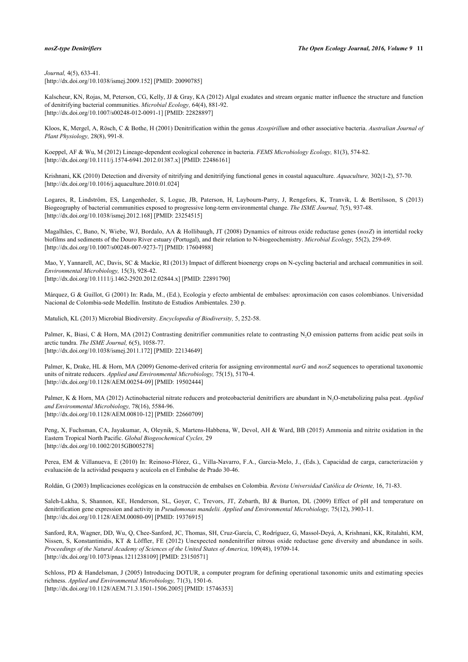*Journal,* 4(5), 633-41. [\[http://dx.doi.org/10.1038/ismej.2009.152](http://dx.doi.org/10.1038/ismej.2009.152)] [PMID: [20090785\]](http://www.ncbi.nlm.nih.gov/pubmed/20090785)

<span id="page-10-10"></span>Kalscheur, KN, Rojas, M, Peterson, CG, Kelly, JJ & Gray, KA (2012) Algal exudates and stream organic matter influence the structure and function of denitrifying bacterial communities. *Microbial Ecology,* 64(4), 881-92. [\[http://dx.doi.org/10.1007/s00248-012-0091-1\]](http://dx.doi.org/10.1007/s00248-012-0091-1) [PMID: [22828897](http://www.ncbi.nlm.nih.gov/pubmed/22828897)]

<span id="page-10-6"></span>Kloos, K, Mergel, A, Rösch, C & Bothe, H (2001) Denitrification within the genus *Azospirillum* and other associative bacteria. *Australian Journal of Plant Physiology,* 28(8), 991-8.

<span id="page-10-11"></span>Koeppel, AF & Wu, M (2012) Lineage-dependent ecological coherence in bacteria. *FEMS Microbiology Ecology,* 81(3), 574-82. [\[http://dx.doi.org/10.1111/j.1574-6941.2012.01387.x\]](http://dx.doi.org/10.1111/j.1574-6941.2012.01387.x) [PMID: [22486161](http://www.ncbi.nlm.nih.gov/pubmed/22486161)]

Krishnani, KK (2010) Detection and diversity of nitrifying and denitrifying functional genes in coastal aquaculture. *Aquaculture,* 302(1-2), 57-70. [\[http://dx.doi.org/10.1016/j.aquaculture.2010.01.024](http://dx.doi.org/10.1016/j.aquaculture.2010.01.024)]

<span id="page-10-12"></span>Logares, R, Lindström, ES, Langenheder, S, Logue, JB, Paterson, H, Laybourn-Parry, J, Rengefors, K, Tranvik, L & Bertilsson, S (2013) Biogeography of bacterial communities exposed to progressive long-term environmental change. *The ISME Journal,* 7(5), 937-48. [\[http://dx.doi.org/10.1038/ismej.2012.168](http://dx.doi.org/10.1038/ismej.2012.168)] [PMID: [23254515\]](http://www.ncbi.nlm.nih.gov/pubmed/23254515)

<span id="page-10-13"></span>Magalhães, C, Bano, N, Wiebe, WJ, Bordalo, AA & Hollibaugh, JT (2008) Dynamics of nitrous oxide reductase genes (*nosZ*) in intertidal rocky biofilms and sediments of the Douro River estuary (Portugal), and their relation to N-biogeochemistry. *Microbial Ecology,* 55(2), 259-69. [\[http://dx.doi.org/10.1007/s00248-007-9273-7\]](http://dx.doi.org/10.1007/s00248-007-9273-7) [PMID: [17604988](http://www.ncbi.nlm.nih.gov/pubmed/17604988)]

<span id="page-10-7"></span>Mao, Y, Yannarell, AC, Davis, SC & Mackie, RI (2013) Impact of different bioenergy crops on N-cycling bacterial and archaeal communities in soil. *Environmental Microbiology,* 15(3), 928-42.

[\[http://dx.doi.org/10.1111/j.1462-2920.2012.02844.x\]](http://dx.doi.org/10.1111/j.1462-2920.2012.02844.x) [PMID: [22891790](http://www.ncbi.nlm.nih.gov/pubmed/22891790)]

Márquez, G & Guillot, G (2001) In: Rada, M., (Ed.), Ecología y efecto ambiental de embalses: aproximación con casos colombianos. Universidad Nacional de Colombia-sede Medellín. Instituto de Estudios Ambientales. 230 p.

<span id="page-10-9"></span><span id="page-10-0"></span>Matulich, KL (2013) Microbial Biodiversity. *Encyclopedia of Biodiversity,* 5, 252-58.

Palmer, K, Biasi, C & Horn, MA (2012) Contrasting denitrifier communities relate to contrasting N<sub>2</sub>O emission patterns from acidic peat soils in arctic tundra. *The ISME Journal,* 6(5), 1058-77. [\[http://dx.doi.org/10.1038/ismej.2011.172](http://dx.doi.org/10.1038/ismej.2011.172)] [PMID: [22134649\]](http://www.ncbi.nlm.nih.gov/pubmed/22134649)

Palmer, K, Drake, HL & Horn, MA (2009) Genome-derived criteria for assigning environmental *narG* and *nosZ* sequences to operational taxonomic units of nitrate reducers. *Applied and Environmental Microbiology,* 75(15), 5170-4. [\[http://dx.doi.org/10.1128/AEM.00254-09](http://dx.doi.org/10.1128/AEM.00254-09)] [PMID: [19502444\]](http://www.ncbi.nlm.nih.gov/pubmed/19502444)

<span id="page-10-1"></span>Palmer, K & Horn, MA (2012) Actinobacterial nitrate reducers and proteobacterial denitrifiers are abundant in N2O-metabolizing palsa peat. *Applied and Environmental Microbiology,* 78(16), 5584-96. [\[http://dx.doi.org/10.1128/AEM.00810-12](http://dx.doi.org/10.1128/AEM.00810-12)] [PMID: [22660709\]](http://www.ncbi.nlm.nih.gov/pubmed/22660709)

<span id="page-10-14"></span>Peng, X, Fuchsman, CA, Jayakumar, A, Oleynik, S, Martens-Habbena, W, Devol, AH & Ward, BB (2015) Ammonia and nitrite oxidation in the Eastern Tropical North Pacific. *Global Biogeochemical Cycles,* 29 [\[http://dx.doi.org/10.1002/2015GB005278\]](http://dx.doi.org/10.1002/2015GB005278)

<span id="page-10-4"></span>Perea, EM & Villanueva, E (2010) In: Reinoso-Flórez, G., Villa-Navarro, F.A., Garcia-Melo, J., (Eds.), Capacidad de carga, caracterización y evaluación de la actividad pesquera y acuícola en el Embalse de Prado 30-46.

<span id="page-10-3"></span>Roldán, G (2003) Implicaciones ecológicas en la construcción de embalses en Colombia. *Revista Universidad Católica de Oriente,* 16, 71-83.

<span id="page-10-15"></span>Saleh-Lakha, S, Shannon, KE, Henderson, SL, Goyer, C, Trevors, JT, Zebarth, BJ & Burton, DL (2009) Effect of pH and temperature on denitrification gene expression and activity in *Pseudomonas mandelii. Applied and Environmental Microbiology,* 75(12), 3903-11. [\[http://dx.doi.org/10.1128/AEM.00080-09](http://dx.doi.org/10.1128/AEM.00080-09)] [PMID: [19376915\]](http://www.ncbi.nlm.nih.gov/pubmed/19376915)

<span id="page-10-2"></span>Sanford, RA, Wagner, DD, Wu, Q, Chee-Sanford, JC, Thomas, SH, Cruz-García, C, Rodríguez, G, Massol-Deyá, A, Krishnani, KK, Ritalahti, KM, Nissen, S, Konstantinidis, KT & Löffler, FE (2012) Unexpected nondenitrifier nitrous oxide reductase gene diversity and abundance in soils. *Proceedings of the Natural Academy of Sciences of the United States of America,* 109(48), 19709-14. [\[http://dx.doi.org/10.1073/pnas.1211238109](http://dx.doi.org/10.1073/pnas.1211238109)] [PMID: [23150571](http://www.ncbi.nlm.nih.gov/pubmed/23150571)]

<span id="page-10-8"></span><span id="page-10-5"></span>Schloss, PD & Handelsman, J (2005) Introducing DOTUR, a computer program for defining operational taxonomic units and estimating species richness. *Applied and Environmental Microbiology,* 71(3), 1501-6. [\[http://dx.doi.org/10.1128/AEM.71.3.1501-1506.2005](http://dx.doi.org/10.1128/AEM.71.3.1501-1506.2005)] [PMID: [15746353\]](http://www.ncbi.nlm.nih.gov/pubmed/15746353)